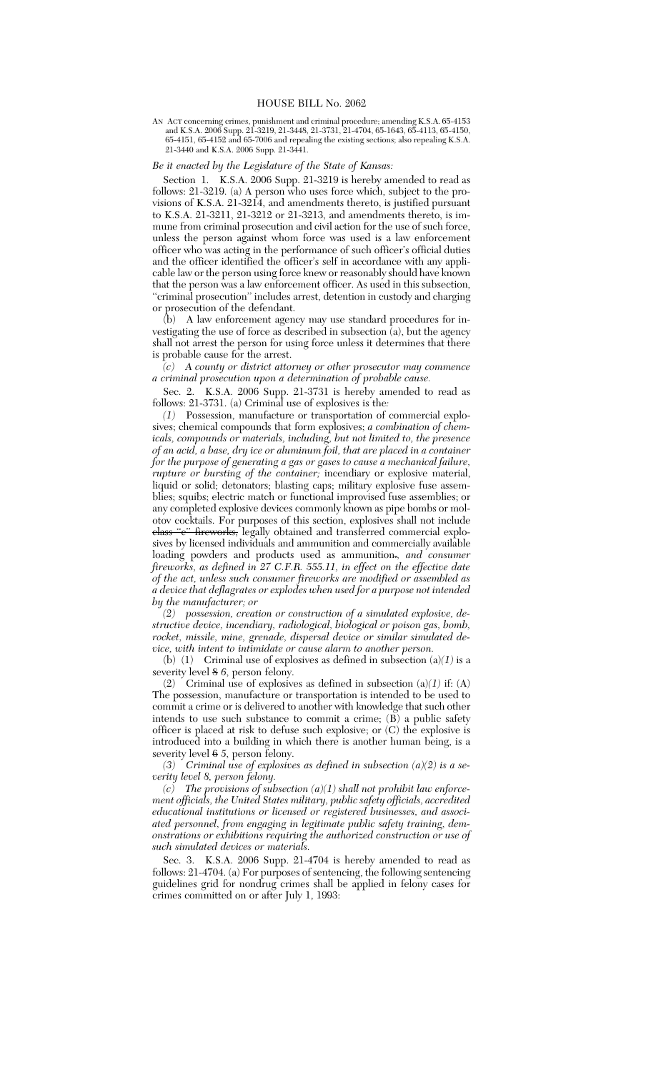AN ACT concerning crimes, punishment and criminal procedure; amending K.S.A. 65-4153 and K.S.A. 2006 Supp. 21-3219, 21-3448, 21-3731, 21-4704, 65-1643, 65-4113, 65-4150, 65-4151, 65-4152 and 65-7006 and repealing the existing sections; also repealing K.S.A. 21-3440 and K.S.A. 2006 Supp. 21-3441.

## *Be it enacted by the Legislature of the State of Kansas:*

Section 1. K.S.A. 2006 Supp. 21-3219 is hereby amended to read as follows: 21-3219. (a) A person who uses force which, subject to the provisions of K.S.A. 21-3214, and amendments thereto, is justified pursuant to K.S.A. 21-3211, 21-3212 or 21-3213, and amendments thereto, is immune from criminal prosecution and civil action for the use of such force, unless the person against whom force was used is a law enforcement officer who was acting in the performance of such officer's official duties and the officer identified the officer's self in accordance with any applicable law or the person using force knew or reasonably should have known that the person was a law enforcement officer. As used in this subsection, ''criminal prosecution'' includes arrest, detention in custody and charging or prosecution of the defendant.

(b) A law enforcement agency may use standard procedures for investigating the use of force as described in subsection  $(a)$ , but the agency shall not arrest the person for using force unless it determines that there is probable cause for the arrest.

*(c) A county or district attorney or other prosecutor may commence a criminal prosecution upon a determination of probable cause.*

Sec. 2. K.S.A. 2006 Supp. 21-3731 is hereby amended to read as follows: 21-3731. (a) Criminal use of explosives is the*:*

*(1)* Possession, manufacture or transportation of commercial explosives; chemical compounds that form explosives; *a combination of chemicals, compounds or materials, including, but not limited to, the presence of an acid, a base, dry ice or aluminum foil, that are placed in a container for the purpose of generating a gas or gases to cause a mechanical failure, rupture or bursting of the container;* incendiary or explosive material, liquid or solid; detonators; blasting caps; military explosive fuse assemblies; squibs; electric match or functional improvised fuse assemblies; or any completed explosive devices commonly known as pipe bombs or molotov cocktails. For purposes of this section, explosives shall not include class ''c'' fireworks, legally obtained and transferred commercial explosives by licensed individuals and ammunition and commercially available loading powders and products used as ammunition.*, and consumer fireworks, as defined in 27 C.F.R. 555.11, in effect on the effective date of the act, unless such consumer fireworks are modified or assembled as a device that deflagrates or explodes when used for a purpose not intended by the manufacturer; or*

*(2) possession, creation or construction of a simulated explosive, destructive device, incendiary, radiological, biological or poison gas, bomb, rocket, missile, mine, grenade, dispersal device or similar simulated device, with intent to intimidate or cause alarm to another person.*

(b) (1) Criminal use of explosives as defined in subsection (a)*(1)* is a severity level 8 *6*, person felony.

(2) Criminal use of explosives as defined in subsection  $(a)(1)$  if:  $(A)$ The possession, manufacture or transportation is intended to be used to commit a crime or is delivered to another with knowledge that such other intends to use such substance to commit a crime;  $(\overline{B})$  a public safety officer is placed at risk to defuse such explosive; or (C) the explosive is introduced into a building in which there is another human being, is a severity level 6 *5*, person felony.

*(3) Criminal use of explosives as defined in subsection (a)(2) is a severity level 8, person felony.*

*(c) The provisions of subsection (a)(1) shall not prohibit law enforcement officials, the United States military, public safety officials, accredited educational institutions or licensed or registered businesses, and associated personnel, from engaging in legitimate public safety training, demonstrations or exhibitions requiring the authorized construction or use of such simulated devices or materials.*

Sec. 3. K.S.A. 2006 Supp. 21-4704 is hereby amended to read as follows: 21-4704. (a) For purposes of sentencing, the following sentencing guidelines grid for nondrug crimes shall be applied in felony cases for crimes committed on or after July 1, 1993: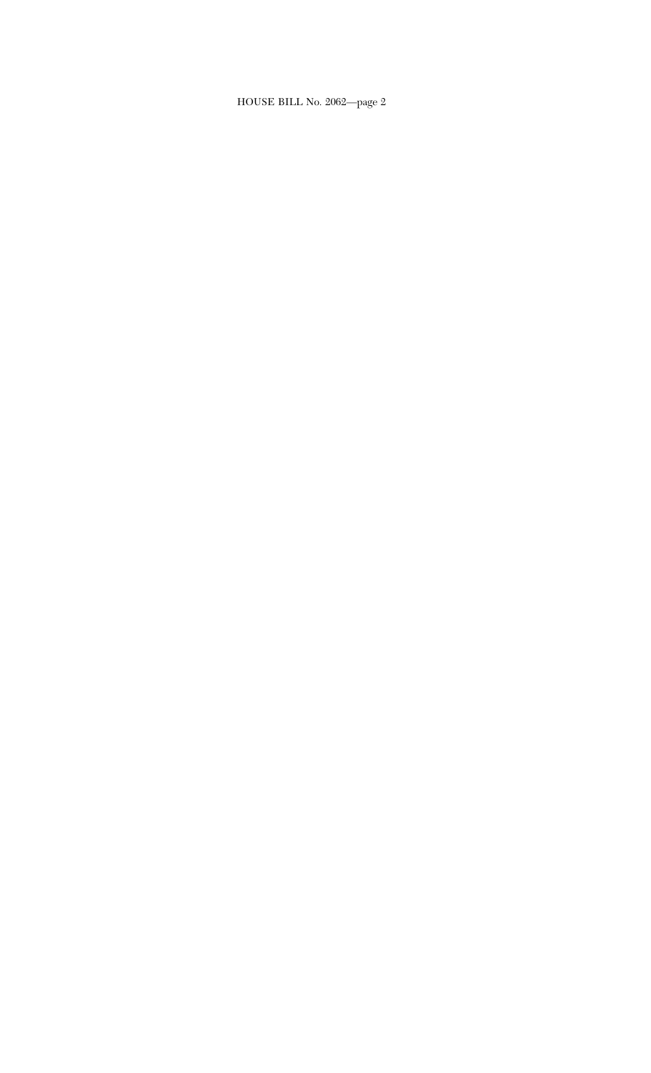## HOUSE BILL No. 2062—page 2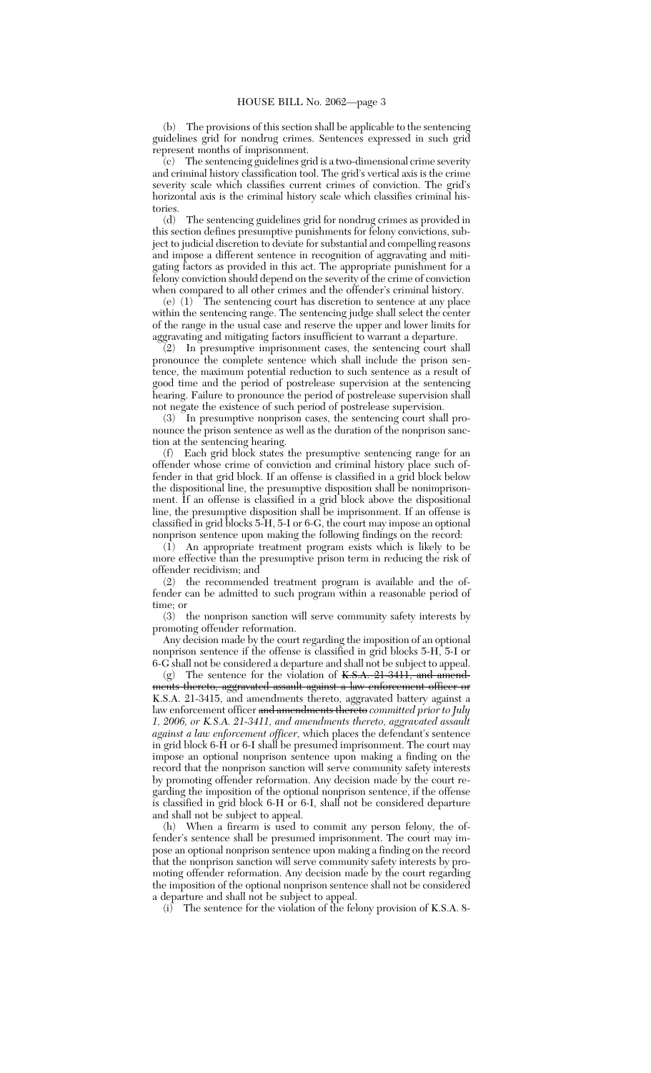(b) The provisions of this section shall be applicable to the sentencing guidelines grid for nondrug crimes. Sentences expressed in such grid represent months of imprisonment.

 $\vec{c}$  The sentencing guidelines grid is a two-dimensional crime severity and criminal history classification tool. The grid's vertical axis is the crime severity scale which classifies current crimes of conviction. The grid's horizontal axis is the criminal history scale which classifies criminal histories.

(d) The sentencing guidelines grid for nondrug crimes as provided in this section defines presumptive punishments for felony convictions, subject to judicial discretion to deviate for substantial and compelling reasons and impose a different sentence in recognition of aggravating and mitigating factors as provided in this act. The appropriate punishment for a felony conviction should depend on the severity of the crime of conviction when compared to all other crimes and the offender's criminal history.

(e) (1) The sentencing court has discretion to sentence at any place within the sentencing range. The sentencing judge shall select the center of the range in the usual case and reserve the upper and lower limits for aggravating and mitigating factors insufficient to warrant a departure.

(2) In presumptive imprisonment cases, the sentencing court shall pronounce the complete sentence which shall include the prison sentence, the maximum potential reduction to such sentence as a result of good time and the period of postrelease supervision at the sentencing hearing. Failure to pronounce the period of postrelease supervision shall not negate the existence of such period of postrelease supervision.

 $(3)$  In presumptive nonprison cases, the sentencing court shall pronounce the prison sentence as well as the duration of the nonprison sanction at the sentencing hearing.

(f) Each grid block states the presumptive sentencing range for an offender whose crime of conviction and criminal history place such offender in that grid block. If an offense is classified in a grid block below the dispositional line, the presumptive disposition shall be nonimprisonment. If an offense is classified in a grid block above the dispositional line, the presumptive disposition shall be imprisonment. If an offense is classified in grid blocks 5-H, 5-I or 6-G, the court may impose an optional nonprison sentence upon making the following findings on the record:

(1) An appropriate treatment program exists which is likely to be more effective than the presumptive prison term in reducing the risk of offender recidivism; and

(2) the recommended treatment program is available and the offender can be admitted to such program within a reasonable period of time; or

(3) the nonprison sanction will serve community safety interests by promoting offender reformation.

Any decision made by the court regarding the imposition of an optional nonprison sentence if the offense is classified in grid blocks 5-H, 5-I or 6-G shall not be considered a departure and shall not be subject to appeal.

(g) The sentence for the violation of  $K.S.A. 21-3411$ , and amendments thereto, aggravated assault against a law enforcement officer or K.S.A. 21-3415, and amendments thereto, aggravated battery against a law enforcement officer and amendments thereto *committed prior to July 1, 2006, or K.S.A. 21-3411, and amendments thereto, aggravated assault against a law enforcement officer,* which places the defendant's sentence in grid block 6-H or 6-I shall be presumed imprisonment. The court may impose an optional nonprison sentence upon making a finding on the record that the nonprison sanction will serve community safety interests by promoting offender reformation. Any decision made by the court regarding the imposition of the optional nonprison sentence, if the offense is classified in grid block 6-H or 6-I, shall not be considered departure and shall not be subject to appeal.

(h) When a firearm is used to commit any person felony, the offender's sentence shall be presumed imprisonment. The court may impose an optional nonprison sentence upon making a finding on the record that the nonprison sanction will serve community safety interests by promoting offender reformation. Any decision made by the court regarding the imposition of the optional nonprison sentence shall not be considered a departure and shall not be subject to appeal.

 $(i)$  The sentence for the violation of the felony provision of K.S.A. 8-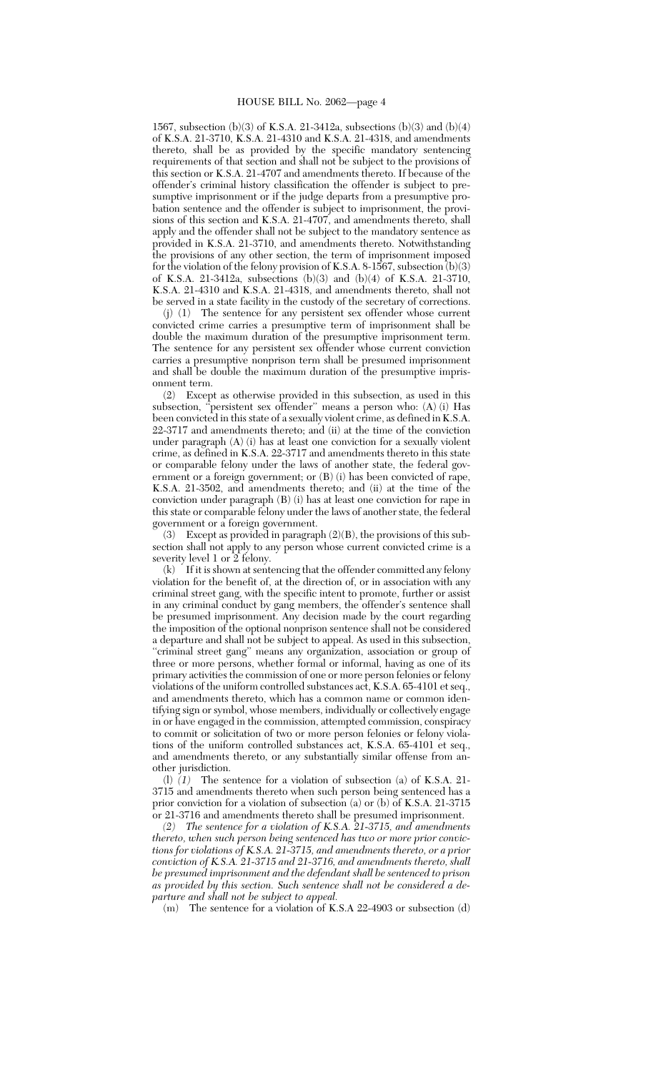1567, subsection (b)(3) of K.S.A. 21-3412a, subsections (b)(3) and (b)(4) of K.S.A. 21-3710, K.S.A. 21-4310 and K.S.A. 21-4318, and amendments thereto, shall be as provided by the specific mandatory sentencing requirements of that section and shall not be subject to the provisions of this section or K.S.A. 21-4707 and amendments thereto. If because of the offender's criminal history classification the offender is subject to presumptive imprisonment or if the judge departs from a presumptive probation sentence and the offender is subject to imprisonment, the provisions of this section and K.S.A. 21-4707, and amendments thereto, shall apply and the offender shall not be subject to the mandatory sentence as provided in K.S.A. 21-3710, and amendments thereto. Notwithstanding the provisions of any other section, the term of imprisonment imposed for the violation of the felony provision of K.S.A. 8-1567, subsection (b)(3) of K.S.A. 21-3412a, subsections (b)(3) and (b)(4) of K.S.A. 21-3710, K.S.A. 21-4310 and K.S.A. 21-4318, and amendments thereto, shall not be served in a state facility in the custody of the secretary of corrections.

(j) (1) The sentence for any persistent sex offender whose current convicted crime carries a presumptive term of imprisonment shall be double the maximum duration of the presumptive imprisonment term. The sentence for any persistent sex offender whose current conviction carries a presumptive nonprison term shall be presumed imprisonment and shall be double the maximum duration of the presumptive imprisonment term.

(2) Except as otherwise provided in this subsection, as used in this subsection, "persistent sex offender" means a person who: (A) (i) Has been convicted in this state of a sexually violent crime, as defined in K.S.A. 22-3717 and amendments thereto; and (ii) at the time of the conviction under paragraph (A) (i) has at least one conviction for a sexually violent crime, as defined in K.S.A. 22-3717 and amendments thereto in this state or comparable felony under the laws of another state, the federal government or a foreign government; or (B) (i) has been convicted of rape, K.S.A. 21-3502, and amendments thereto; and (ii) at the time of the conviction under paragraph (B) (i) has at least one conviction for rape in this state or comparable felony under the laws of another state, the federal government or a foreign government.

(3) Except as provided in paragraph (2)(B), the provisions of this subsection shall not apply to any person whose current convicted crime is a severity level 1 or 2 felony.

(k) If it is shown at sentencing that the offender committed any felony violation for the benefit of, at the direction of, or in association with any criminal street gang, with the specific intent to promote, further or assist in any criminal conduct by gang members, the offender's sentence shall be presumed imprisonment. Any decision made by the court regarding the imposition of the optional nonprison sentence shall not be considered a departure and shall not be subject to appeal. As used in this subsection, ''criminal street gang'' means any organization, association or group of three or more persons, whether formal or informal, having as one of its primary activities the commission of one or more person felonies or felony violations of the uniform controlled substances act, K.S.A. 65-4101 et seq., and amendments thereto, which has a common name or common identifying sign or symbol, whose members, individually or collectively engage in or have engaged in the commission, attempted commission, conspiracy to commit or solicitation of two or more person felonies or felony violations of the uniform controlled substances act, K.S.A. 65-4101 et seq., and amendments thereto, or any substantially similar offense from another jurisdiction.

(l) *(1)* The sentence for a violation of subsection (a) of K.S.A. 21- 3715 and amendments thereto when such person being sentenced has a prior conviction for a violation of subsection (a) or (b) of K.S.A. 21-3715 or 21-3716 and amendments thereto shall be presumed imprisonment.

*(2) The sentence for a violation of K.S.A. 21-3715, and amendments thereto, when such person being sentenced has two or more prior convictions for violations of K.S.A. 21-3715, and amendments thereto, or a prior conviction of K.S.A. 21-3715 and 21-3716, and amendments thereto, shall be presumed imprisonment and the defendant shall be sentenced to prison as provided by this section. Such sentence shall not be considered a departure and shall not be subject to appeal.*

(m) The sentence for a violation of K.S.A 22-4903 or subsection (d)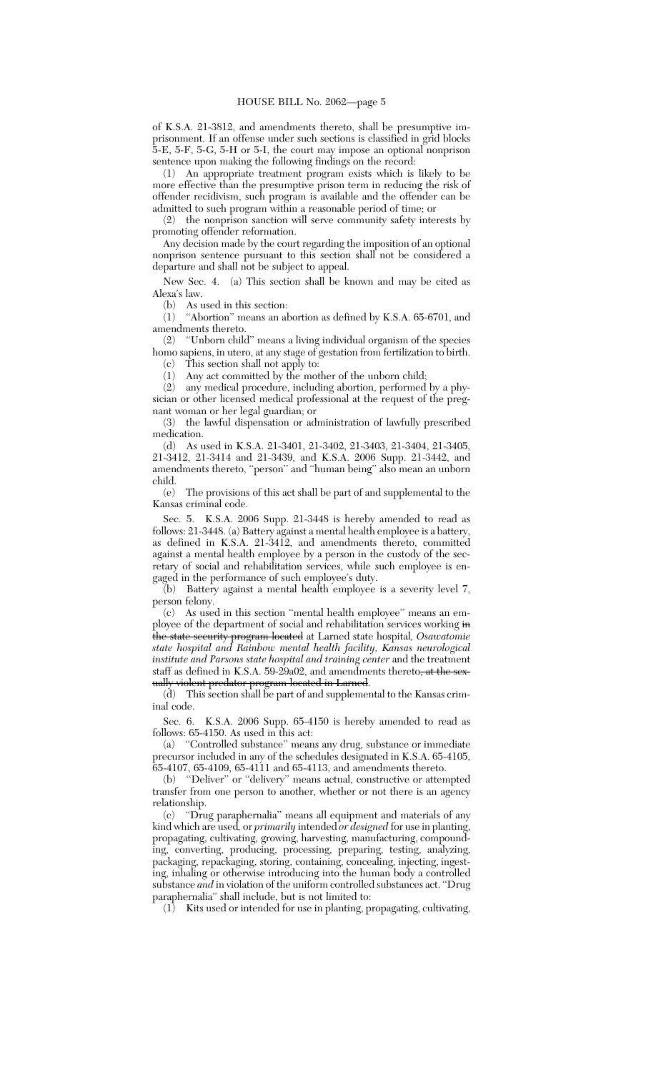of K.S.A. 21-3812, and amendments thereto, shall be presumptive imprisonment. If an offense under such sections is classified in grid blocks 5-E, 5-F, 5-G, 5-H or 5-I, the court may impose an optional nonprison sentence upon making the following findings on the record:

(1) An appropriate treatment program exists which is likely to be more effective than the presumptive prison term in reducing the risk of offender recidivism, such program is available and the offender can be admitted to such program within a reasonable period of time; or

(2) the nonprison sanction will serve community safety interests by promoting offender reformation.

Any decision made by the court regarding the imposition of an optional nonprison sentence pursuant to this section shall not be considered a departure and shall not be subject to appeal.

New Sec. 4. (a) This section shall be known and may be cited as Alexa's law.

(b) As used in this section:

(1) ''Abortion'' means an abortion as defined by K.S.A. 65-6701, and amendments thereto.

(2) ''Unborn child'' means a living individual organism of the species homo sapiens, in utero, at any stage of gestation from fertilization to birth.

(c) This section shall not apply to:

(1) Any act committed by the mother of the unborn child;

(2) any medical procedure, including abortion, performed by a physician or other licensed medical professional at the request of the pregnant woman or her legal guardian; or

(3) the lawful dispensation or administration of lawfully prescribed medication.

(d) As used in K.S.A. 21-3401, 21-3402, 21-3403, 21-3404, 21-3405, 21-3412, 21-3414 and 21-3439, and K.S.A. 2006 Supp. 21-3442, and amendments thereto, "person" and "human being" also mean an unborn child.

(e) The provisions of this act shall be part of and supplemental to the Kansas criminal code.

Sec. 5. K.S.A. 2006 Supp. 21-3448 is hereby amended to read as follows: 21-3448. (a) Battery against a mental health employee is a battery, as defined in K.S.A. 21-3412, and amendments thereto, committed against a mental health employee by a person in the custody of the secretary of social and rehabilitation services, while such employee is engaged in the performance of such employee's duty.

(b) Battery against a mental health employee is a severity level 7, person felony.

(c) As used in this section ''mental health employee'' means an employee of the department of social and rehabilitation services working in the state security program located at Larned state hospital*, Osawatomie state hospital and Rainbow mental health facility, Kansas neurological institute and Parsons state hospital and training center* and the treatment staff as defined in K.S.A. 59-29a02, and amendments thereto, at the sexually violent predator program located in Larned.<br>(d) This section shall be part of and supplement

This section shall be part of and supplemental to the Kansas criminal code.

Sec. 6. K.S.A. 2006 Supp. 65-4150 is hereby amended to read as follows: 65-4150. As used in this act:

(a) ''Controlled substance'' means any drug, substance or immediate precursor included in any of the schedules designated in K.S.A. 65-4105, 65-4107, 65-4109, 65-4111 and 65-4113, and amendments thereto.

(b) ''Deliver'' or ''delivery'' means actual, constructive or attempted transfer from one person to another, whether or not there is an agency relationship.<br>(c) "Dru

"Drug paraphernalia" means all equipment and materials of any kind which are used*,* or *primarily* intended *or designed* for use in planting, propagating, cultivating, growing, harvesting, manufacturing, compounding, converting, producing, processing, preparing, testing, analyzing, packaging, repackaging, storing, containing, concealing, injecting, ingesting, inhaling or otherwise introducing into the human body a controlled substance *and* in violation of the uniform controlled substances act. ''Drug paraphernalia'' shall include, but is not limited to:

 $(1)$  Kits used or intended for use in planting, propagating, cultivating,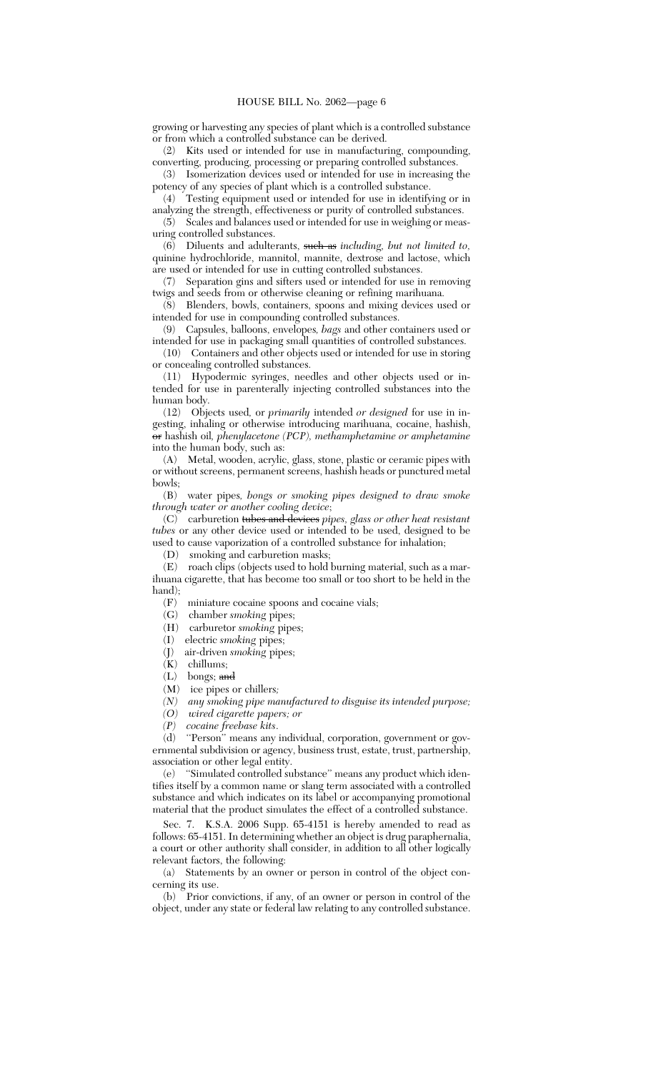growing or harvesting any species of plant which is a controlled substance or from which a controlled substance can be derived.

(2) Kits used or intended for use in manufacturing, compounding, converting, producing, processing or preparing controlled substances.

(3) Isomerization devices used or intended for use in increasing the potency of any species of plant which is a controlled substance.

(4) Testing equipment used or intended for use in identifying or in analyzing the strength, effectiveness or purity of controlled substances.

(5) Scales and balances used or intended for use in weighing or measuring controlled substances.

(6) Diluents and adulterants, such as *including, but not limited to,* quinine hydrochloride, mannitol, mannite, dextrose and lactose, which are used or intended for use in cutting controlled substances.

(7) Separation gins and sifters used or intended for use in removing twigs and seeds from or otherwise cleaning or refining marihuana.

(8) Blenders, bowls, containers, spoons and mixing devices used or intended for use in compounding controlled substances.

(9) Capsules, balloons, envelopes*, bags* and other containers used or intended for use in packaging small quantities of controlled substances.

(10) Containers and other objects used or intended for use in storing or concealing controlled substances.

(11) Hypodermic syringes, needles and other objects used or intended for use in parenterally injecting controlled substances into the human body.

(12) Objects used*,* or *primarily* intended *or designed* for use in ingesting, inhaling or otherwise introducing marihuana, cocaine, hashish, or hashish oil*, phenylacetone (PCP), methamphetamine or amphetamine* into the human body, such as:

(A) Metal, wooden, acrylic, glass, stone, plastic or ceramic pipes with or without screens, permanent screens, hashish heads or punctured metal bowls;

(B) water pipes*, bongs or smoking pipes designed to draw smoke through water or another cooling device*;

(C) carburetion tubes and devices *pipes, glass or other heat resistant tubes* or any other device used or intended to be used, designed to be used to cause vaporization of a controlled substance for inhalation;

(D) smoking and carburetion masks;

(E) roach clips (objects used to hold burning material, such as a marihuana cigarette, that has become too small or too short to be held in the hand);

(F) miniature cocaine spoons and cocaine vials;

(G) chamber *smoking* pipes;

(H) carburetor *smoking* pipes;

(I) electric *smoking* pipes;

(J) air-driven *smoking* pipes;

 $(K)$  chillums;<br> $(L)$  bongs:

bongs; and

(M) ice pipes or chillers*;*

*(N) any smoking pipe manufactured to disguise its intended purpose;*

*(O) wired cigarette papers; or*

*(P) cocaine freebase kits*.

(d) ''Person'' means any individual, corporation, government or governmental subdivision or agency, business trust, estate, trust, partnership, association or other legal entity.

(e) ''Simulated controlled substance'' means any product which identifies itself by a common name or slang term associated with a controlled substance and which indicates on its label or accompanying promotional material that the product simulates the effect of a controlled substance.

Sec. 7. K.S.A. 2006 Supp. 65-4151 is hereby amended to read as follows: 65-4151. In determining whether an object is drug paraphernalia, a court or other authority shall consider, in addition to all other logically relevant factors, the following:

(a) Statements by an owner or person in control of the object concerning its use.

(b) Prior convictions, if any, of an owner or person in control of the object, under any state or federal law relating to any controlled substance.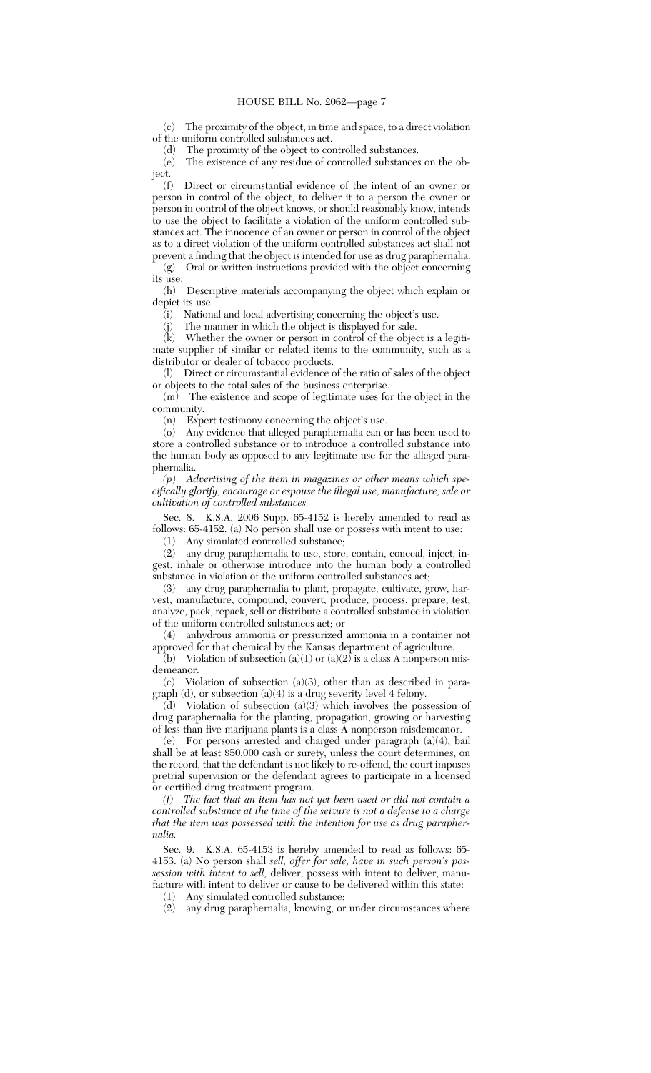(c) The proximity of the object, in time and space, to a direct violation of the uniform controlled substances act.<br>(d) The proximity of the object to co

The proximity of the object to controlled substances.

(e) The existence of any residue of controlled substances on the object.

(f) Direct or circumstantial evidence of the intent of an owner or person in control of the object, to deliver it to a person the owner or person in control of the object knows, or should reasonably know, intends to use the object to facilitate a violation of the uniform controlled substances act. The innocence of an owner or person in control of the object as to a direct violation of the uniform controlled substances act shall not prevent a finding that the object is intended for use as drug paraphernalia.

(g) Oral or written instructions provided with the object concerning its use.

(h) Descriptive materials accompanying the object which explain or depict its use.<br>(i) Nation

National and local advertising concerning the object's use.

(j) The manner in which the object is displayed for sale.

(k) Whether the owner or person in control of the object is a legitimate supplier of similar or related items to the community, such as a distributor or dealer of tobacco products.

(l) Direct or circumstantial evidence of the ratio of sales of the object or objects to the total sales of the business enterprise.

(m) The existence and scope of legitimate uses for the object in the community.

(n) Expert testimony concerning the object's use.

(o) Any evidence that alleged paraphernalia can or has been used to store a controlled substance or to introduce a controlled substance into the human body as opposed to any legitimate use for the alleged paraphernalia.

*(p) Advertising of the item in magazines or other means which specifically glorify, encourage or espouse the illegal use, manufacture, sale or cultivation of controlled substances.*

Sec. 8. K.S.A. 2006 Supp. 65-4152 is hereby amended to read as follows: 65-4152. (a) No person shall use or possess with intent to use:

(1) Any simulated controlled substance;

(2) any drug paraphernalia to use, store, contain, conceal, inject, ingest, inhale or otherwise introduce into the human body a controlled substance in violation of the uniform controlled substances act;

(3) any drug paraphernalia to plant, propagate, cultivate, grow, harvest, manufacture, compound, convert, produce, process, prepare, test, analyze, pack, repack, sell or distribute a controlled substance in violation of the uniform controlled substances act; or

(4) anhydrous ammonia or pressurized ammonia in a container not approved for that chemical by the Kansas department of agriculture.

(b) Violation of subsection (a)(1) or (a)(2) is a class A nonperson misdemeanor.

(c) Violation of subsection (a)(3), other than as described in paragraph (d), or subsection (a)(4) is a drug severity level 4 felony.

(d) Violation of subsection (a)(3) which involves the possession of drug paraphernalia for the planting, propagation, growing or harvesting of less than five marijuana plants is a class A nonperson misdemeanor.

(e) For persons arrested and charged under paragraph (a)(4), bail shall be at least \$50,000 cash or surety, unless the court determines, on the record, that the defendant is not likely to re-offend, the court imposes pretrial supervision or the defendant agrees to participate in a licensed or certified drug treatment program.

*(f) The fact that an item has not yet been used or did not contain a controlled substance at the time of the seizure is not a defense to a charge that the item was possessed with the intention for use as drug paraphernalia.*

Sec. 9. K.S.A. 65-4153 is hereby amended to read as follows: 65- 4153. (a) No person shall *sell, offer for sale, have in such person's possession with intent to sell,* deliver, possess with intent to deliver, manufacture with intent to deliver or cause to be delivered within this state:

(1) Any simulated controlled substance;

(2) any drug paraphernalia, knowing, or under circumstances where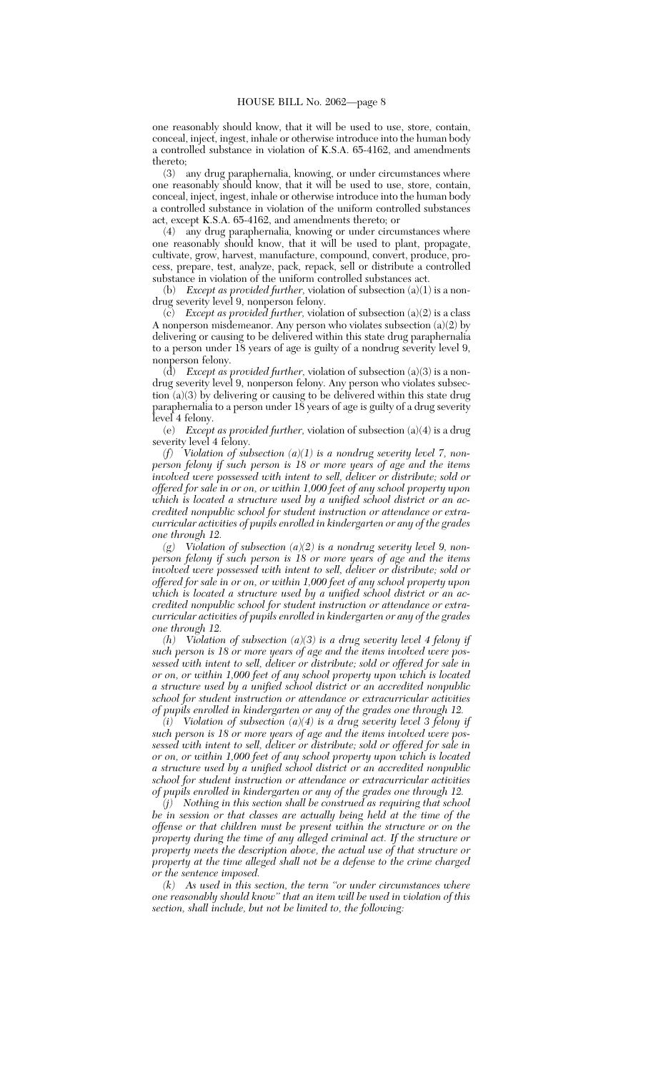one reasonably should know, that it will be used to use, store, contain, conceal, inject, ingest, inhale or otherwise introduce into the human body a controlled substance in violation of K.S.A. 65-4162, and amendments thereto;

(3) any drug paraphernalia, knowing, or under circumstances where one reasonably should know, that it will be used to use, store, contain, conceal, inject, ingest, inhale or otherwise introduce into the human body a controlled substance in violation of the uniform controlled substances act, except K.S.A. 65-4162, and amendments thereto; or

(4) any drug paraphernalia, knowing or under circumstances where one reasonably should know, that it will be used to plant, propagate, cultivate, grow, harvest, manufacture, compound, convert, produce, process, prepare, test, analyze, pack, repack, sell or distribute a controlled substance in violation of the uniform controlled substances act.

(b) *Except as provided further,* violation of subsection (a)(1) is a nondrug severity level 9, nonperson felony.

(c) *Except as provided further,* violation of subsection (a)(2) is a class A nonperson misdemeanor. Any person who violates subsection (a)(2) by delivering or causing to be delivered within this state drug paraphernalia to a person under 18 years of age is guilty of a nondrug severity level 9, nonperson felony.

 $(d)$  *Except as provided further, violation of subsection (a)(3) is a non*drug severity level 9, nonperson felony. Any person who violates subsection (a)(3) by delivering or causing to be delivered within this state drug paraphernalia to a person under 18 years of age is guilty of a drug severity level 4 felony.

(e) *Except as provided further,* violation of subsection (a)(4) is a drug severity level 4 felony.

*(f) Violation of subsection (a)(1) is a nondrug severity level 7, nonperson felony if such person is 18 or more years of age and the items involved were possessed with intent to sell, deliver or distribute; sold or offered for sale in or on, or within 1,000 feet of any school property upon which is located a structure used by a unified school district or an accredited nonpublic school for student instruction or attendance or extracurricular activities of pupils enrolled in kindergarten or any of the grades one through 12.*

*(g) Violation of subsection (a)(2) is a nondrug severity level 9, nonperson felony if such person is 18 or more years of age and the items involved were possessed with intent to sell, deliver or distribute; sold or offered for sale in or on, or within 1,000 feet of any school property upon which is located a structure used by a unified school district or an accredited nonpublic school for student instruction or attendance or extracurricular activities of pupils enrolled in kindergarten or any of the grades one through 12.*

*(h) Violation of subsection (a)(3) is a drug severity level 4 felony if such person is 18 or more years of age and the items involved were possessed with intent to sell, deliver or distribute; sold or offered for sale in or on, or within 1,000 feet of any school property upon which is located a structure used by a unified school district or an accredited nonpublic school for student instruction or attendance or extracurricular activities of pupils enrolled in kindergarten or any of the grades one through 12.*

*(i) Violation of subsection (a)(4) is a drug severity level 3 felony if such person is 18 or more years of age and the items involved were possessed with intent to sell, deliver or distribute; sold or offered for sale in or on, or within 1,000 feet of any school property upon which is located a structure used by a unified school district or an accredited nonpublic school for student instruction or attendance or extracurricular activities of pupils enrolled in kindergarten or any of the grades one through 12.*

*(j) Nothing in this section shall be construed as requiring that school be in session or that classes are actually being held at the time of the offense or that children must be present within the structure or on the property during the time of any alleged criminal act. If the structure or property meets the description above, the actual use of that structure or property at the time alleged shall not be a defense to the crime charged or the sentence imposed.*

*(k) As used in this section, the term ''or under circumstances where one reasonably should know'' that an item will be used in violation of this section, shall include, but not be limited to, the following:*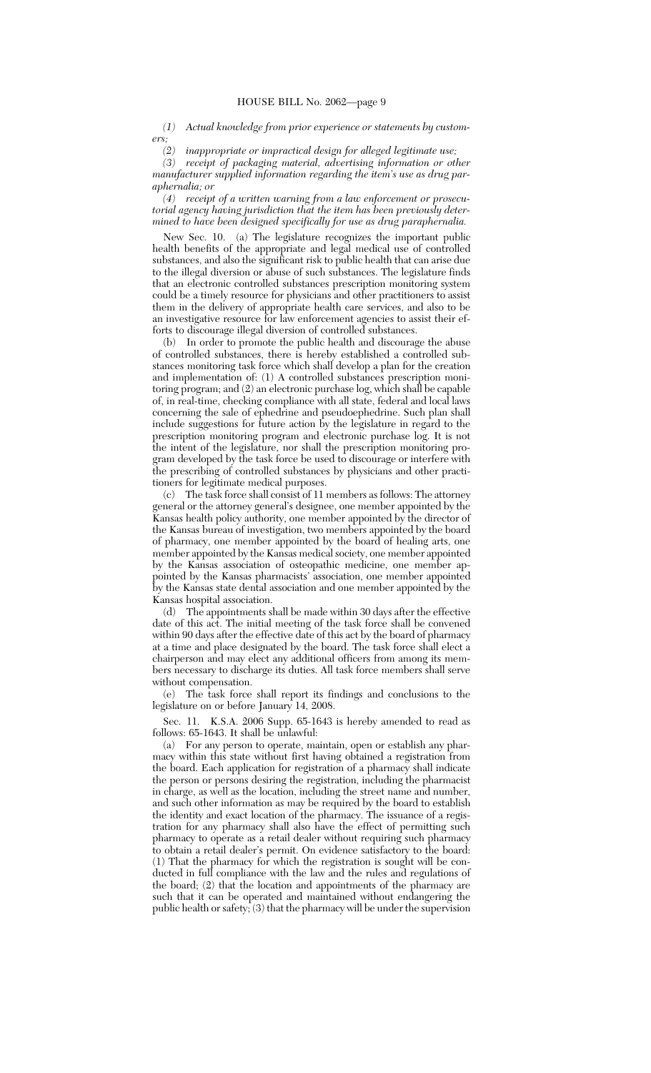*(1) Actual knowledge from prior experience or statements by customers;*

*(2) inappropriate or impractical design for alleged legitimate use;*

*(3) receipt of packaging material, advertising information or other manufacturer supplied information regarding the item's use as drug paraphernalia; or*

*(4) receipt of a written warning from a law enforcement or prosecutorial agency having jurisdiction that the item has been previously determined to have been designed specifically for use as drug paraphernalia.*

New Sec. 10. (a) The legislature recognizes the important public health benefits of the appropriate and legal medical use of controlled substances, and also the significant risk to public health that can arise due to the illegal diversion or abuse of such substances. The legislature finds that an electronic controlled substances prescription monitoring system could be a timely resource for physicians and other practitioners to assist them in the delivery of appropriate health care services, and also to be an investigative resource for law enforcement agencies to assist their efforts to discourage illegal diversion of controlled substances.

(b) In order to promote the public health and discourage the abuse of controlled substances, there is hereby established a controlled substances monitoring task force which shall develop a plan for the creation and implementation of: (1) A controlled substances prescription monitoring program; and (2) an electronic purchase log, which shall be capable of, in real-time, checking compliance with all state, federal and local laws concerning the sale of ephedrine and pseudoephedrine. Such plan shall include suggestions for future action by the legislature in regard to the prescription monitoring program and electronic purchase log. It is not the intent of the legislature, nor shall the prescription monitoring program developed by the task force be used to discourage or interfere with the prescribing of controlled substances by physicians and other practitioners for legitimate medical purposes.

(c) The task force shall consist of 11 members as follows: The attorney general or the attorney general's designee, one member appointed by the Kansas health policy authority, one member appointed by the director of the Kansas bureau of investigation, two members appointed by the board of pharmacy, one member appointed by the board of healing arts, one member appointed by the Kansas medical society, one member appointed by the Kansas association of osteopathic medicine, one member appointed by the Kansas pharmacists' association, one member appointed by the Kansas state dental association and one member appointed by the Kansas hospital association.

(d) The appointments shall be made within 30 days after the effective date of this act. The initial meeting of the task force shall be convened within 90 days after the effective date of this act by the board of pharmacy at a time and place designated by the board. The task force shall elect a chairperson and may elect any additional officers from among its members necessary to discharge its duties. All task force members shall serve without compensation.

(e) The task force shall report its findings and conclusions to the legislature on or before January 14, 2008.

Sec. 11. K.S.A. 2006 Supp. 65-1643 is hereby amended to read as follows: 65-1643. It shall be unlawful:

(a) For any person to operate, maintain, open or establish any pharmacy within this state without first having obtained a registration from the board. Each application for registration of a pharmacy shall indicate the person or persons desiring the registration, including the pharmacist in charge, as well as the location, including the street name and number, and such other information as may be required by the board to establish the identity and exact location of the pharmacy. The issuance of a registration for any pharmacy shall also have the effect of permitting such pharmacy to operate as a retail dealer without requiring such pharmacy to obtain a retail dealer's permit. On evidence satisfactory to the board: (1) That the pharmacy for which the registration is sought will be conducted in full compliance with the law and the rules and regulations of the board; (2) that the location and appointments of the pharmacy are such that it can be operated and maintained without endangering the public health or safety; (3) that the pharmacy will be under the supervision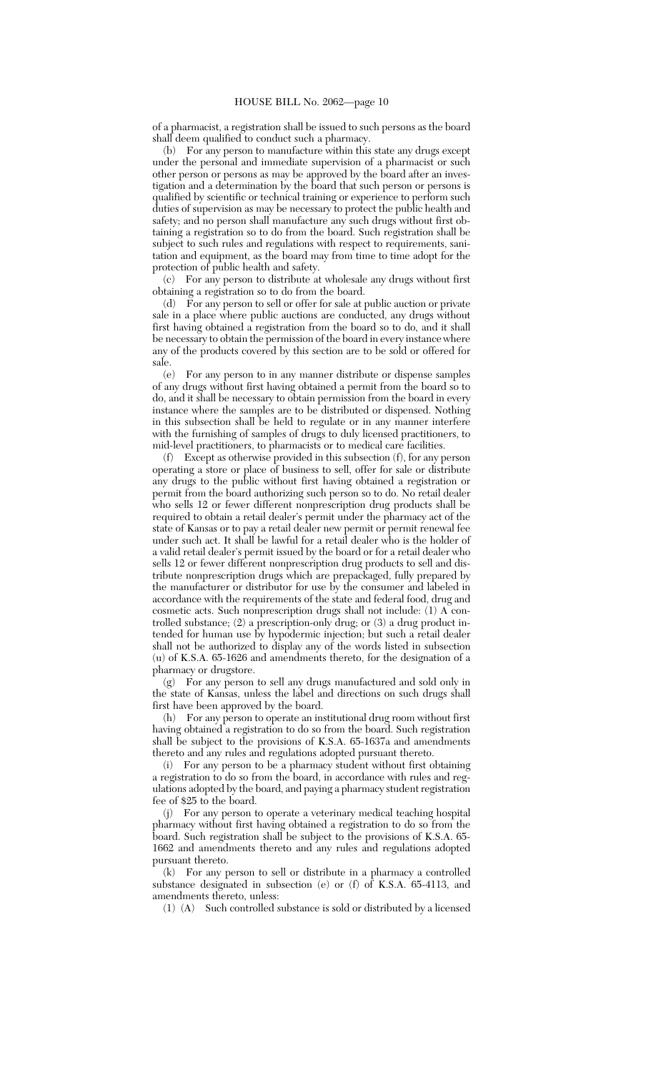of a pharmacist, a registration shall be issued to such persons as the board shall deem qualified to conduct such a pharmacy.

(b) For any person to manufacture within this state any drugs except under the personal and immediate supervision of a pharmacist or such other person or persons as may be approved by the board after an investigation and a determination by the board that such person or persons is qualified by scientific or technical training or experience to perform such duties of supervision as may be necessary to protect the public health and safety; and no person shall manufacture any such drugs without first obtaining a registration so to do from the board. Such registration shall be subject to such rules and regulations with respect to requirements, sanitation and equipment, as the board may from time to time adopt for the protection of public health and safety.

(c) For any person to distribute at wholesale any drugs without first obtaining a registration so to do from the board.

(d) For any person to sell or offer for sale at public auction or private sale in a place where public auctions are conducted, any drugs without first having obtained a registration from the board so to do, and it shall be necessary to obtain the permission of the board in every instance where any of the products covered by this section are to be sold or offered for

sale.<br>(e) For any person to in any manner distribute or dispense samples of any drugs without first having obtained a permit from the board so to do, and it shall be necessary to obtain permission from the board in every instance where the samples are to be distributed or dispensed. Nothing in this subsection shall be held to regulate or in any manner interfere with the furnishing of samples of drugs to duly licensed practitioners, to mid-level practitioners, to pharmacists or to medical care facilities.

(f) Except as otherwise provided in this subsection (f), for any person operating a store or place of business to sell, offer for sale or distribute any drugs to the public without first having obtained a registration or permit from the board authorizing such person so to do. No retail dealer who sells 12 or fewer different nonprescription drug products shall be required to obtain a retail dealer's permit under the pharmacy act of the state of Kansas or to pay a retail dealer new permit or permit renewal fee under such act. It shall be lawful for a retail dealer who is the holder of a valid retail dealer's permit issued by the board or for a retail dealer who sells 12 or fewer different nonprescription drug products to sell and distribute nonprescription drugs which are prepackaged, fully prepared by the manufacturer or distributor for use by the consumer and labeled in accordance with the requirements of the state and federal food, drug and cosmetic acts. Such nonprescription drugs shall not include: (1) A controlled substance; (2) a prescription-only drug; or (3) a drug product intended for human use by hypodermic injection; but such a retail dealer shall not be authorized to display any of the words listed in subsection (u) of K.S.A. 65-1626 and amendments thereto, for the designation of a pharmacy or drugstore.

(g) For any person to sell any drugs manufactured and sold only in the state of Kansas, unless the label and directions on such drugs shall first have been approved by the board.

(h) For any person to operate an institutional drug room without first having obtained a registration to do so from the board. Such registration shall be subject to the provisions of K.S.A. 65-1637a and amendments thereto and any rules and regulations adopted pursuant thereto.

(i) For any person to be a pharmacy student without first obtaining a registration to do so from the board, in accordance with rules and regulations adopted by the board, and paying a pharmacy student registration fee of \$25 to the board.

(j) For any person to operate a veterinary medical teaching hospital pharmacy without first having obtained a registration to do so from the board. Such registration shall be subject to the provisions of K.S.A. 65- 1662 and amendments thereto and any rules and regulations adopted pursuant thereto.

(k) For any person to sell or distribute in a pharmacy a controlled substance designated in subsection (e) or (f) of K.S.A. 65-4113, and amendments thereto, unless:

(1) (A) Such controlled substance is sold or distributed by a licensed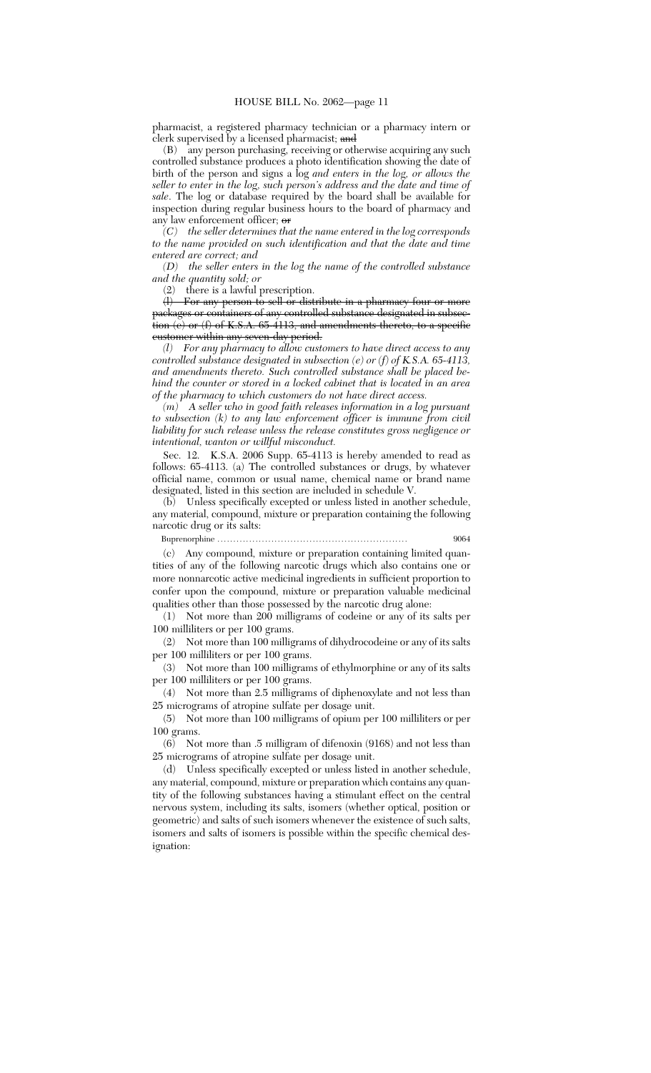pharmacist, a registered pharmacy technician or a pharmacy intern or clerk supervised by a licensed pharmacist; and

(B) any person purchasing, receiving or otherwise acquiring any such controlled substance produces a photo identification showing the date of birth of the person and signs a log *and enters in the log, or allows the seller to enter in the log, such person's address and the date and time of sale*. The log or database required by the board shall be available for inspection during regular business hours to the board of pharmacy and any law enforcement officer; or

*(C) the seller determines that the name entered in the log corresponds to the name provided on such identification and that the date and time entered are correct; and*

*(D) the seller enters in the log the name of the controlled substance and the quantity sold; or*

(2) there is a lawful prescription.<br>(1) For any person to sell or dist

For any person to sell or distribute in a pharmacy four or more packages or containers of any controlled substance designated in subsection (e) or (f) of K.S.A. 65-4113, and amendments thereto, to a specific customer within any seven-day period.

*(l) For any pharmacy to allow customers to have direct access to any controlled substance designated in subsection (e) or (f) of K.S.A. 65-4113, and amendments thereto. Such controlled substance shall be placed behind the counter or stored in a locked cabinet that is located in an area of the pharmacy to which customers do not have direct access.*

*(m) A seller who in good faith releases information in a log pursuant to subsection (k) to any law enforcement officer is immune from civil liability for such release unless the release constitutes gross negligence or intentional, wanton or willful misconduct.*

Sec. 12. K.S.A. 2006 Supp. 65-4113 is hereby amended to read as follows: 65-4113. (a) The controlled substances or drugs, by whatever official name, common or usual name, chemical name or brand name designated, listed in this section are included in schedule V.

(b) Unless specifically excepted or unless listed in another schedule, any material, compound, mixture or preparation containing the following narcotic drug or its salts:

Buprenorphine ............................................................ 9064

(c) Any compound, mixture or preparation containing limited quantities of any of the following narcotic drugs which also contains one or more nonnarcotic active medicinal ingredients in sufficient proportion to confer upon the compound, mixture or preparation valuable medicinal qualities other than those possessed by the narcotic drug alone:

(1) Not more than 200 milligrams of codeine or any of its salts per 100 milliliters or per 100 grams.

(2) Not more than 100 milligrams of dihydrocodeine or any of its salts per 100 milliliters or per 100 grams.

(3) Not more than 100 milligrams of ethylmorphine or any of its salts per 100 milliliters or per 100 grams.

(4) Not more than 2.5 milligrams of diphenoxylate and not less than 25 micrograms of atropine sulfate per dosage unit.

(5) Not more than 100 milligrams of opium per 100 milliliters or per 100 grams.

(6) Not more than .5 milligram of difenoxin (9168) and not less than 25 micrograms of atropine sulfate per dosage unit.

(d) Unless specifically excepted or unless listed in another schedule, any material, compound, mixture or preparation which contains any quantity of the following substances having a stimulant effect on the central nervous system, including its salts, isomers (whether optical, position or geometric) and salts of such isomers whenever the existence of such salts, isomers and salts of isomers is possible within the specific chemical designation: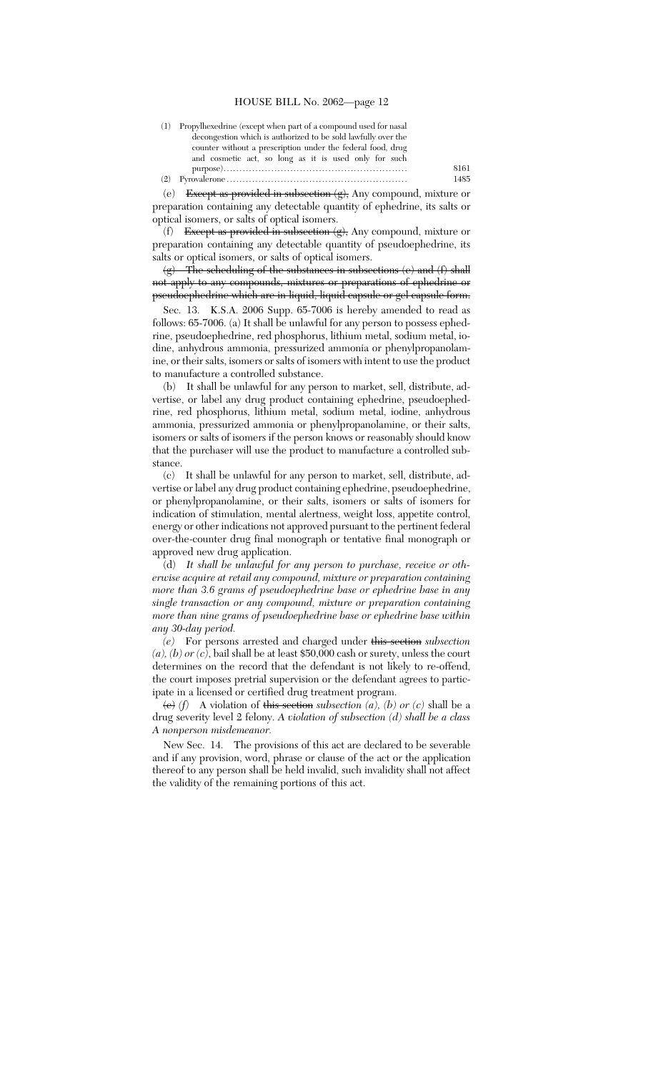## HOUSE BILL No. 2062—page 12

| (1) | Propylhexedrine (except when part of a compound used for nasal |      |
|-----|----------------------------------------------------------------|------|
|     | decongestion which is authorized to be sold lawfully over the  |      |
|     | counter without a prescription under the federal food, drug    |      |
|     | and cosmetic act, so long as it is used only for such          |      |
|     |                                                                | 8161 |
| (2) |                                                                | 1485 |

(e) Except as provided in subsection (g), Any compound, mixture or preparation containing any detectable quantity of ephedrine, its salts or optical isomers, or salts of optical isomers.

(f) Except as provided in subsection  $(g)$ , Any compound, mixture or preparation containing any detectable quantity of pseudoephedrine, its salts or optical isomers, or salts of optical isomers.

(g) The scheduling of the substances in subsections (e) and (f) shall not apply to any compounds, mixtures or preparations of ephedrine or pseudoephedrine which are in liquid, liquid capsule or gel capsule form.

Sec. 13. K.S.A. 2006 Supp. 65-7006 is hereby amended to read as follows: 65-7006. (a) It shall be unlawful for any person to possess ephedrine, pseudoephedrine, red phosphorus, lithium metal, sodium metal, iodine, anhydrous ammonia, pressurized ammonia or phenylpropanolamine, or their salts, isomers or salts of isomers with intent to use the product to manufacture a controlled substance.

(b) It shall be unlawful for any person to market, sell, distribute, advertise, or label any drug product containing ephedrine, pseudoephedrine, red phosphorus, lithium metal, sodium metal, iodine, anhydrous ammonia, pressurized ammonia or phenylpropanolamine, or their salts, isomers or salts of isomers if the person knows or reasonably should know that the purchaser will use the product to manufacture a controlled substance.

(c) It shall be unlawful for any person to market, sell, distribute, advertise or label any drug product containing ephedrine, pseudoephedrine, or phenylpropanolamine, or their salts, isomers or salts of isomers for indication of stimulation, mental alertness, weight loss, appetite control, energy or other indications not approved pursuant to the pertinent federal over-the-counter drug final monograph or tentative final monograph or approved new drug application.

(d) *It shall be unlawful for any person to purchase, receive or otherwise acquire at retail any compound, mixture or preparation containing more than 3.6 grams of pseudoephedrine base or ephedrine base in any single transaction or any compound, mixture or preparation containing more than nine grams of pseudoephedrine base or ephedrine base within any 30-day period.*

*(e)* For persons arrested and charged under this section *subsection*  $(a)$ ,  $(b)$  or  $(c)$ , bail shall be at least \$50,000 cash or surety, unless the court determines on the record that the defendant is not likely to re-offend, the court imposes pretrial supervision or the defendant agrees to participate in a licensed or certified drug treatment program.

 $\overline{(e)}$  *(f)* A violation of this section *subsection (a), (b) or (c)* shall be a drug severity level 2 felony. *A violation of subsection (d) shall be a class A nonperson misdemeanor.*

New Sec. 14. The provisions of this act are declared to be severable and if any provision, word, phrase or clause of the act or the application thereof to any person shall be held invalid, such invalidity shall not affect the validity of the remaining portions of this act.